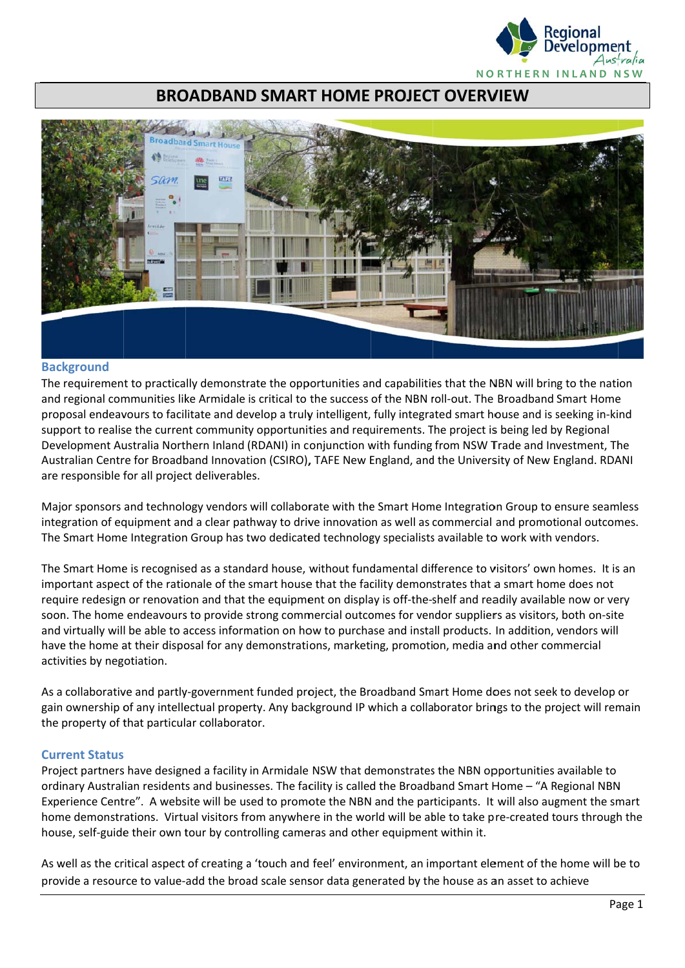

# **BROADBAND SMART HOME PROJECT OVERVIEW**



#### **Background**

The requirement to practically demonstrate the opportunities and capabilities that the NBN will bring to the nation and regional communities like Armidale is critical to the success of the NBN roll-out. The Broadband Smart Home proposal endeavours to facilitate and develop a truly intelligent, fully integrated smart house and is seeking in-kind support to realise the current community opportunities and requirements. The project is being led by Regional Development Australia Northern Inland (RDANI) in conjunction with funding from NSW Trade and Investment, The Australian Centre for Broadband Innovation (CSIRO), TAFE New England, and the University of New England. RDANI are responsible for all project deliverables.

Major sponsors and technology vendors will collaborate with the Smart Home Integration Group to ensure seamless integration of equipment and a clear pathway to drive innovation as well as commercial and promotional outcomes. The Smart Home Integration Group has two dedicated technology specialists available to work with vendors.

The Smart Home is recognised as a standard house, without fundamental difference to visitors' own homes. It is an important aspect of the rationale of the smart house that the facility demonstrates that a smart home does not require redesign or renovation and that the equipment on display is off-the-shelf and readily available now or very soon. The home endeavours to provide strong commercial outcomes for vendor suppliers as visitors, both on-site and virtually will be able to access information on how to purchase and install products. In addition, vendors will have the home at their disposal for any demonstrations, marketing, promotion, media and other commercial activities by negotiation.

As a collaborative and partly-government funded project, the Broadband Smart Home does not seek to develop or gain ownership of any intellectual property. Any background IP which a collaborator brings to the project will remain the property of that particular collaborator.

## **Current Status**

Project partners have designed a facility in Armidale NSW that demonstrates the NBN opportunities available to ordinary Australian residents and businesses. The facility is called the Broadband Smart Home - "A Regional NBN Experience Centre". A website will be used to promote the NBN and the participants. It will also augment the smart home demonstrations. Virtual visitors from anywhere in the world will be able to take pre-created tours through the house, self-guide their own tour by controlling cameras and other equipment within it.

As well as the critical aspect of creating a 'touch and feel' environment, an important element of the home will be to provide a resource to value-add the broad scale sensor data generated by the house as an asset to achieve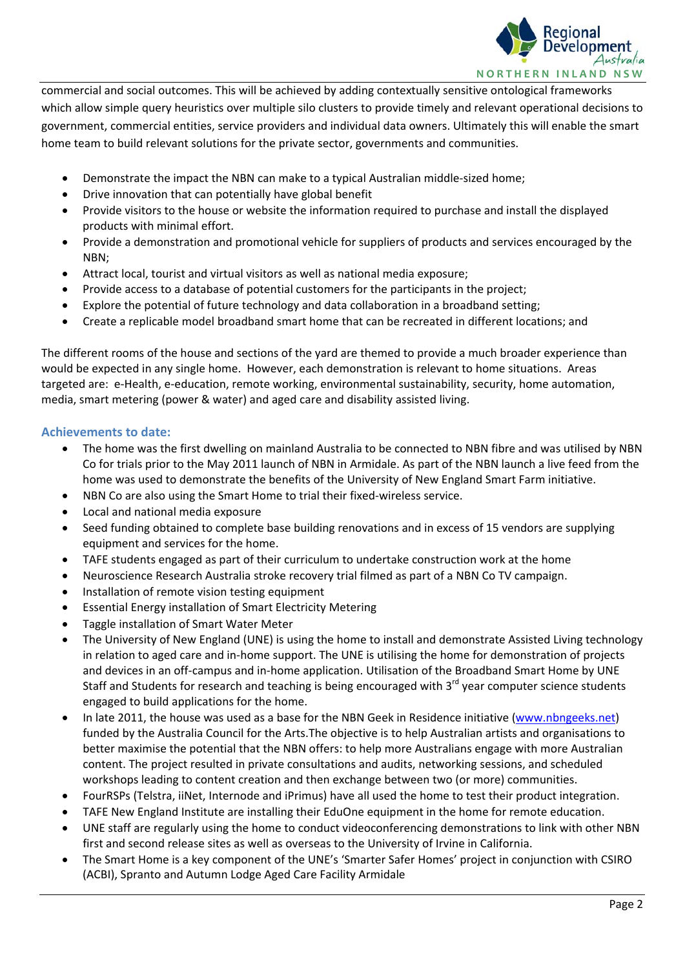

commercial and social outcomes. This will be achieved by adding contextually sensitive ontological frameworks which allow simple query heuristics over multiple silo clusters to provide timely and relevant operational decisions to government, commercial entities, service providers and individual data owners. Ultimately this will enable the smart home team to build relevant solutions for the private sector, governments and communities.

- Demonstrate the impact the NBN can make to a typical Australian middle-sized home;
- Drive innovation that can potentially have global benefit
- Provide visitors to the house or website the information required to purchase and install the displayed products with minimal effort.
- Provide a demonstration and promotional vehicle for suppliers of products and services encouraged by the NBN;
- Attract local, tourist and virtual visitors as well as national media exposure;
- Provide access to a database of potential customers for the participants in the project;
- Explore the potential of future technology and data collaboration in a broadband setting;
- Create a replicable model broadband smart home that can be recreated in different locations; and

The different rooms of the house and sections of the yard are themed to provide a much broader experience than would be expected in any single home. However, each demonstration is relevant to home situations. Areas targeted are: e‐Health, e‐education, remote working, environmental sustainability, security, home automation, media, smart metering (power & water) and aged care and disability assisted living.

## **Achievements to date:**

- The home was the first dwelling on mainland Australia to be connected to NBN fibre and was utilised by NBN Co for trials prior to the May 2011 launch of NBN in Armidale. As part of the NBN launch a live feed from the home was used to demonstrate the benefits of the University of New England Smart Farm initiative.
- NBN Co are also using the Smart Home to trial their fixed‐wireless service.
- Local and national media exposure
- Seed funding obtained to complete base building renovations and in excess of 15 vendors are supplying equipment and services for the home.
- TAFE students engaged as part of their curriculum to undertake construction work at the home
- Neuroscience Research Australia stroke recovery trial filmed as part of a NBN Co TV campaign.
- Installation of remote vision testing equipment
- Essential Energy installation of Smart Electricity Metering
- Taggle installation of Smart Water Meter
- The University of New England (UNE) is using the home to install and demonstrate Assisted Living technology in relation to aged care and in‐home support. The UNE is utilising the home for demonstration of projects and devices in an off-campus and in-home application. Utilisation of the Broadband Smart Home by UNE Staff and Students for research and teaching is being encouraged with 3<sup>rd</sup> year computer science students engaged to build applications for the home.
- In late 2011, the house was used as a base for the NBN Geek in Residence initiative (www.nbngeeks.net) funded by the Australia Council for the Arts.The objective is to help Australian artists and organisations to better maximise the potential that the NBN offers: to help more Australians engage with more Australian content. The project resulted in private consultations and audits, networking sessions, and scheduled workshops leading to content creation and then exchange between two (or more) communities.
- FourRSPs (Telstra, iiNet, Internode and iPrimus) have all used the home to test their product integration.
- TAFE New England Institute are installing their EduOne equipment in the home for remote education.
- UNE staff are regularly using the home to conduct videoconferencing demonstrations to link with other NBN first and second release sites as well as overseas to the University of Irvine in California.
- The Smart Home is a key component of the UNE's 'Smarter Safer Homes' project in conjunction with CSIRO (ACBI), Spranto and Autumn Lodge Aged Care Facility Armidale